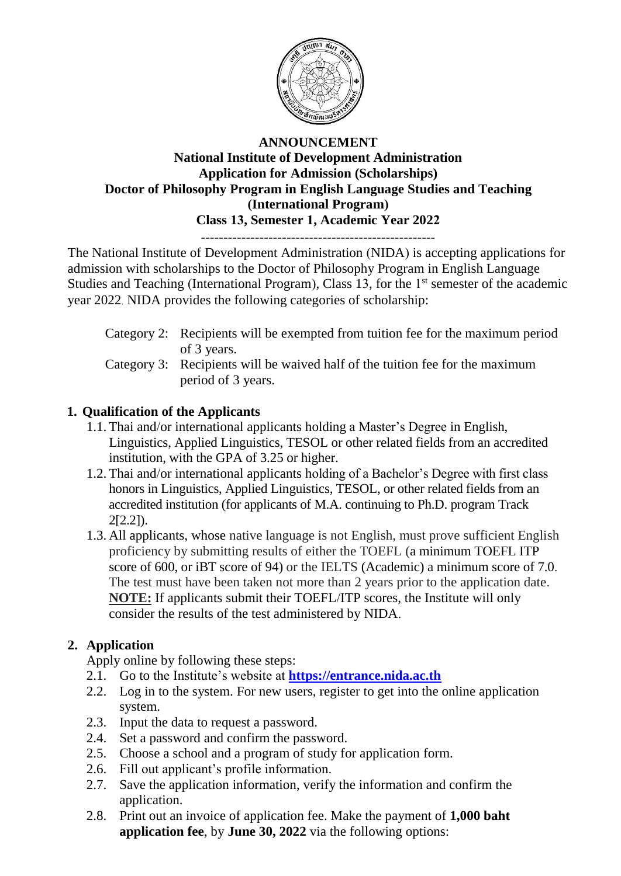

## **ANNOUNCEMENT National Institute of Development Administration Application for Admission (Scholarships) Doctor of Philosophy Program in English Language Studies and Teaching (International Program) Class 13, Semester 1, Academic Year 2022**

----------------------------------------------------

The National Institute of Development Administration (NIDA) is accepting applications for admission with scholarships to the Doctor of Philosophy Program in English Language Studies and Teaching (International Program), Class 13, for the 1<sup>st</sup> semester of the academic year 2022. NIDA provides the following categories of scholarship:

- Category 2: Recipients will be exempted from tuition fee for the maximum period of 3 years.
- Category 3: Recipients will be waived half of the tuition fee for the maximum period of 3 years.

# **1. Qualification of the Applicants**

- 1.1. Thai and/or international applicants holding a Master's Degree in English, Linguistics, Applied Linguistics, TESOL or other related fields from an accredited institution, with the GPA of 3.25 or higher.
- 1.2. Thai and/or international applicants holding of a Bachelor's Degree with first class honors in Linguistics, Applied Linguistics, TESOL, or other related fields from an accredited institution (for applicants of M.A. continuing to Ph.D. program Track 2[2.2]).
- 1.3. All applicants, whose native language is not English, must prove sufficient English proficiency by submitting results of either the TOEFL (a minimum TOEFL ITP score of 600, or iBT score of 94) or the IELTS (Academic) a minimum score of 7.0. The test must have been taken not more than 2 years prior to the application date. **NOTE:** If applicants submit their TOEFL/ITP scores, the Institute will only consider the results of the test administered by NIDA.

# **2. Application**

Apply online by following these steps:

- 2.1. Go to the Institute's website at **[https://entrance.nida.ac.th](https://entrance.nida.ac.th/)**
- 2.2. Log in to the system. For new users, register to get into the online application system.
- 2.3. Input the data to request a password.
- 2.4. Set a password and confirm the password.
- 2.5. Choose a school and a program of study for application form.
- 2.6. Fill out applicant's profile information.
- 2.7. Save the application information, verify the information and confirm the application.
- 2.8. Print out an invoice of application fee. Make the payment of **1,000 baht application fee**, by **June 30, 2022** via the following options: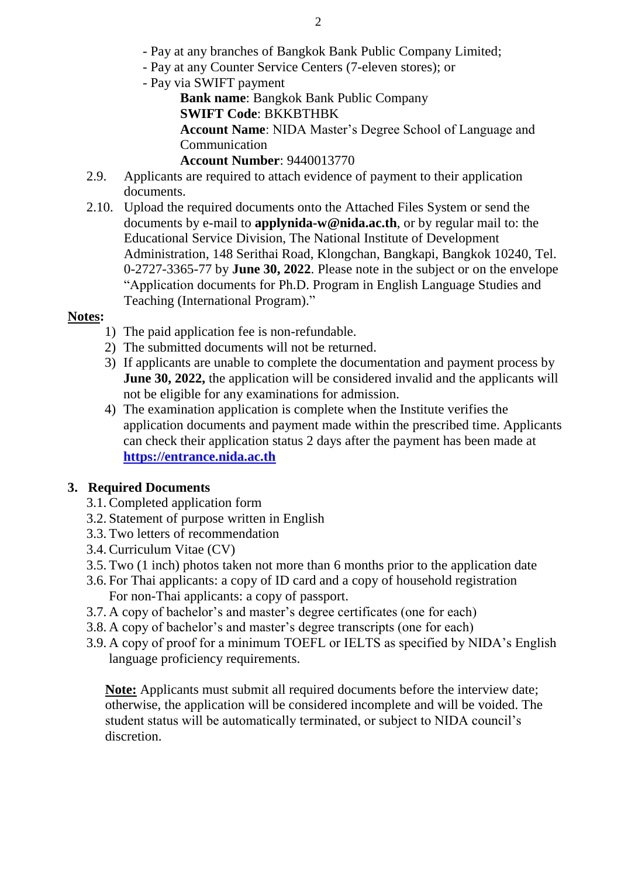- Pay at any branches of Bangkok Bank Public Company Limited;
- Pay at any Counter Service Centers (7-eleven stores); or
- Pay via SWIFT payment
	- **Bank name**: Bangkok Bank Public Company **SWIFT Code**: BKKBTHBK

**Account Name**: NIDA Master's Degree School of Language and Communication

- **Account Number**: 9440013770
- 2.9. Applicants are required to attach evidence of payment to their application documents.
- 2.10. Upload the required documents onto the Attached Files System or send the documents by e-mail to **applynida-w@nida.ac.th**, or by regular mail to: the Educational Service Division, The National Institute of Development Administration, 148 Serithai Road, Klongchan, Bangkapi, Bangkok 10240, Tel. 0-2727-3365-77 by **June 30, 2022**. Please note in the subject or on the envelope "Application documents for Ph.D. Program in English Language Studies and Teaching (International Program)."

## **Notes:**

- 1) The paid application fee is non-refundable.
- 2) The submitted documents will not be returned.
- 3) If applicants are unable to complete the documentation and payment process by **June 30, 2022,** the application will be considered invalid and the applicants will not be eligible for any examinations for admission.
- 4) The examination application is complete when the Institute verifies the application documents and payment made within the prescribed time. Applicants can check their application status 2 days after the payment has been made at **[https://entrance.nida.ac.th](https://entrance.nida.ac.th/)**

## **3. Required Documents**

- 3.1.Completed application form
- 3.2. Statement of purpose written in English
- 3.3. Two letters of recommendation
- 3.4.Curriculum Vitae (CV)
- 3.5. Two (1 inch) photos taken not more than 6 months prior to the application date
- 3.6. For Thai applicants: a copy of ID card and a copy of household registration For non-Thai applicants: a copy of passport.
- 3.7. A copy of bachelor's and master's degree certificates (one for each)
- 3.8. A copy of bachelor's and master's degree transcripts (one for each)
- 3.9. A copy of proof for a minimum TOEFL or IELTS as specified by NIDA's English language proficiency requirements.

**Note:** Applicants must submit all required documents before the interview date; otherwise, the application will be considered incomplete and will be voided. The student status will be automatically terminated, or subject to NIDA council's discretion.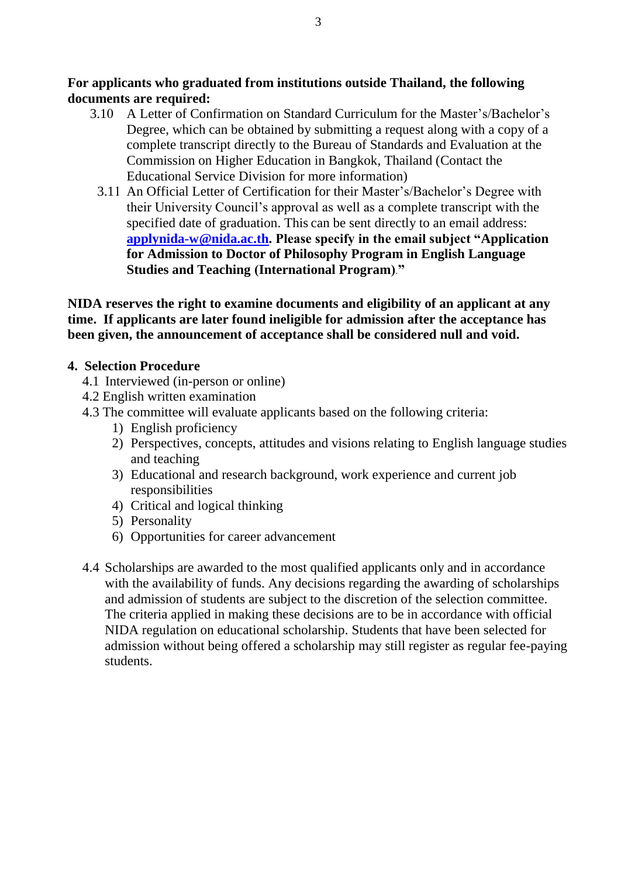**For applicants who graduated from institutions outside Thailand, the following documents are required:**

- 3.10 A Letter of Confirmation on Standard Curriculum for the Master's/Bachelor's Degree, which can be obtained by submitting a request along with a copy of a complete transcript directly to the Bureau of Standards and Evaluation at the Commission on Higher Education in Bangkok, Thailand (Contact the Educational Service Division for more information)
	- 3.11 An Official Letter of Certification for their Master's/Bachelor's Degree with their University Council's approval as well as a complete transcript with the specified date of graduation. This can be sent directly to an email address: **[applynida-w@nida.ac.th.](mailto:applynida-w@nida.ac.th) Please specify in the email subject "Application for Admission to Doctor of Philosophy Program in English Language Studies and Teaching (International Program)."**

**NIDA reserves the right to examine documents and eligibility of an applicant at any time. If applicants are later found ineligible for admission after the acceptance has been given, the announcement of acceptance shall be considered null and void.**

## **4. Selection Procedure**

- 4.1 Interviewed (in-person or online)
- 4.2 English written examination
- 4.3 The committee will evaluate applicants based on the following criteria:
	- 1) English proficiency
	- 2) Perspectives, concepts, attitudes and visions relating to English language studies and teaching
	- 3) Educational and research background, work experience and current job responsibilities
	- 4) Critical and logical thinking
	- 5) Personality
	- 6) Opportunities for career advancement
- 4.4 Scholarships are awarded to the most qualified applicants only and in accordance with the availability of funds. Any decisions regarding the awarding of scholarships and admission of students are subject to the discretion of the selection committee. The criteria applied in making these decisions are to be in accordance with official NIDA regulation on educational scholarship. Students that have been selected for admission without being offered a scholarship may still register as regular fee-paying students.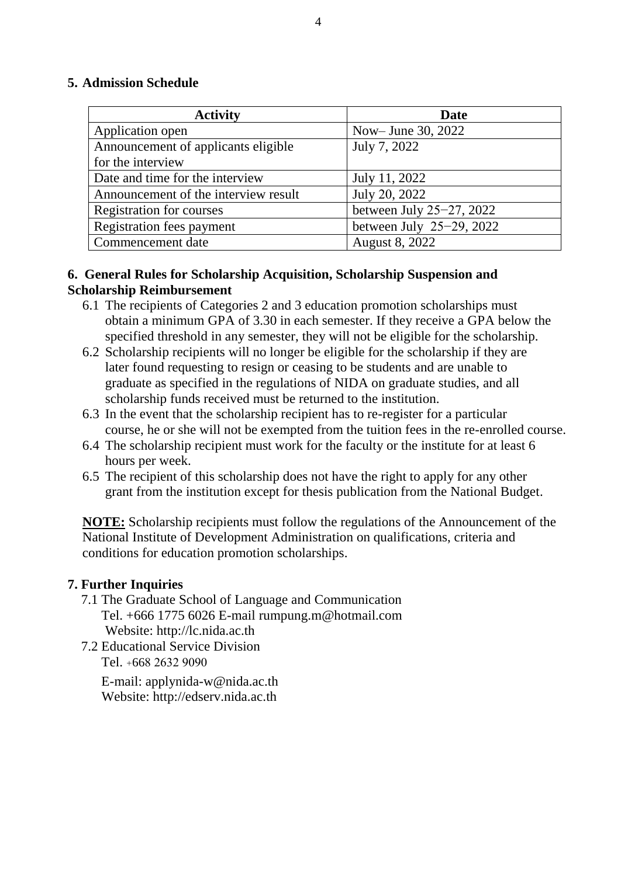## **5. Admission Schedule**

| <b>Activity</b>                      | Date                          |
|--------------------------------------|-------------------------------|
| Application open                     | Now-June 30, 2022             |
| Announcement of applicants eligible  | July 7, 2022                  |
| for the interview                    |                               |
| Date and time for the interview      | July 11, 2022                 |
| Announcement of the interview result | July 20, 2022                 |
| <b>Registration for courses</b>      | between July $25-27$ , $2022$ |
| Registration fees payment            | between July $25-29$ , 2022   |
| Commencement date                    | <b>August 8, 2022</b>         |

## **6. General Rules for Scholarship Acquisition, Scholarship Suspension and Scholarship Reimbursement**

- 6.1 The recipients of Categories 2 and 3 education promotion scholarships must obtain a minimum GPA of 3.30 in each semester. If they receive a GPA below the specified threshold in any semester, they will not be eligible for the scholarship.
- 6.2 Scholarship recipients will no longer be eligible for the scholarship if they are later found requesting to resign or ceasing to be students and are unable to graduate as specified in the regulations of NIDA on graduate studies, and all scholarship funds received must be returned to the institution.
- 6.3 In the event that the scholarship recipient has to re-register for a particular course, he or she will not be exempted from the tuition fees in the re-enrolled course.
- 6.4 The scholarship recipient must work for the faculty or the institute for at least 6 hours per week.
- 6.5 The recipient of this scholarship does not have the right to apply for any other grant from the institution except for thesis publication from the National Budget.

**NOTE:** Scholarship recipients must follow the regulations of the Announcement of the National Institute of Development Administration on qualifications, criteria and conditions for education promotion scholarships.

## **7. Further Inquiries**

- 7.1 The Graduate School of Language and Communication Tel. +666 1775 6026 E-mail rumpung.m@hotmail.com Website: [http://lc.nida.ac.th](http://lc.nida.ac.th/)
- 7.2 Educational Service Division Tel. +668 2632 9090

 E-mail: applynida-w@nida.ac.th Website: http://edserv.nida.ac.th